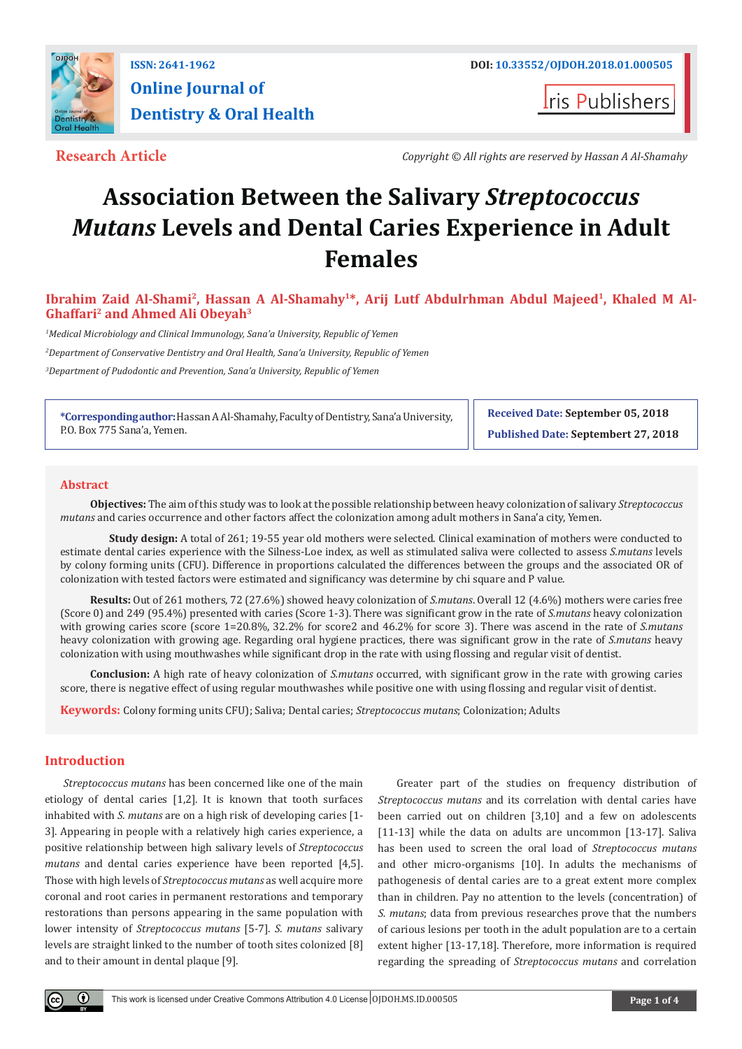

## **ISSN: 2641-1962 DOI: [10.33552/OJDOH.2018.01.000505](http://dx.doi.org/10.33552/OJDOH.2018.01.000505) Online Journal of Dentistry & Oral Health**

**Iris Publishers** 

**Research Article** *Copyright © All rights are reserved by Hassan A Al-Shamahy*

# **Association Between the Salivary** *Streptococcus Mutans* **Levels and Dental Caries Experience in Adult Females**

Ibrahim Zaid Al-Shami<sup>2</sup>, Hassan A Al-Shamahy<sup>1\*</sup>, Arij Lutf Abdulrhman Abdul Majeed<sup>1</sup>, Khaled M Al-**Ghaffari2 and Ahmed Ali Obeyah3**

*1 Medical Microbiology and Clinical Immunology, Sana'a University, Republic of Yemen 2 Department of Conservative Dentistry and Oral Health, Sana'a University, Republic of Yemen*

*3 Department of Pudodontic and Prevention, Sana'a University, Republic of Yemen*

**\*Corresponding author:** Hassan A Al-Shamahy, Faculty of Dentistry, Sana'a University, P.O. Box 775 Sana'a, Yemen.

**Received Date: September 05, 2018 Published Date: Septembert 27, 2018**

#### **Abstract**

**Objectives:** The aim of this study was to look at the possible relationship between heavy colonization of salivary *Streptococcus mutans* and caries occurrence and other factors affect the colonization among adult mothers in Sana'a city, Yemen.

 **Study design:** A total of 261; 19-55 year old mothers were selected. Clinical examination of mothers were conducted to estimate dental caries experience with the Silness-Loe index, as well as stimulated saliva were collected to assess *S.mutans* levels by colony forming units (CFU). Difference in proportions calculated the differences between the groups and the associated OR of colonization with tested factors were estimated and significancy was determine by chi square and P value.

**Results:** Out of 261 mothers, 72 (27.6%) showed heavy colonization of *S.mutans*. Overall 12 (4.6%) mothers were caries free (Score 0) and 249 (95.4%) presented with caries (Score 1-3). There was significant grow in the rate of *S.mutans* heavy colonization with growing caries score (score 1=20.8%, 32.2% for score2 and 46.2% for score 3). There was ascend in the rate of *S.mutans*  heavy colonization with growing age. Regarding oral hygiene practices, there was significant grow in the rate of *S.mutans* heavy colonization with using mouthwashes while significant drop in the rate with using flossing and regular visit of dentist.

**Conclusion:** A high rate of heavy colonization of *S.mutans* occurred, with significant grow in the rate with growing caries score, there is negative effect of using regular mouthwashes while positive one with using flossing and regular visit of dentist.

**Keywords:** Colony forming units CFU); Saliva; Dental caries; *Streptococcus mutans*; Colonization; Adults

#### **Introduction**

*Streptococcus mutans* has been concerned like one of the main etiology of dental caries [1,2]. It is known that tooth surfaces inhabited with *S. mutans* are on a high risk of developing caries [1- 3]. Appearing in people with a relatively high caries experience, a positive relationship between high salivary levels of *Streptococcus mutans* and dental caries experience have been reported [4,5]. Those with high levels of *Streptococcus mutans* as well acquire more coronal and root caries in permanent restorations and temporary restorations than persons appearing in the same population with lower intensity of *Streptococcus mutans* [5-7]. *S. mutans* salivary levels are straight linked to the number of tooth sites colonized [8] and to their amount in dental plaque [9].

Greater part of the studies on frequency distribution of *Streptococcus mutans* and its correlation with dental caries have been carried out on children [3,10] and a few on adolescents [11-13] while the data on adults are uncommon [13-17]. Saliva has been used to screen the oral load of *Streptococcus mutans* and other micro-organisms [10]. In adults the mechanisms of pathogenesis of dental caries are to a great extent more complex than in children. Pay no attention to the levels (concentration) of *S. mutans*; data from previous researches prove that the numbers of carious lesions per tooth in the adult population are to a certain extent higher [13-17,18]. Therefore, more information is required regarding the spreading of *Streptococcus mutans* and correlation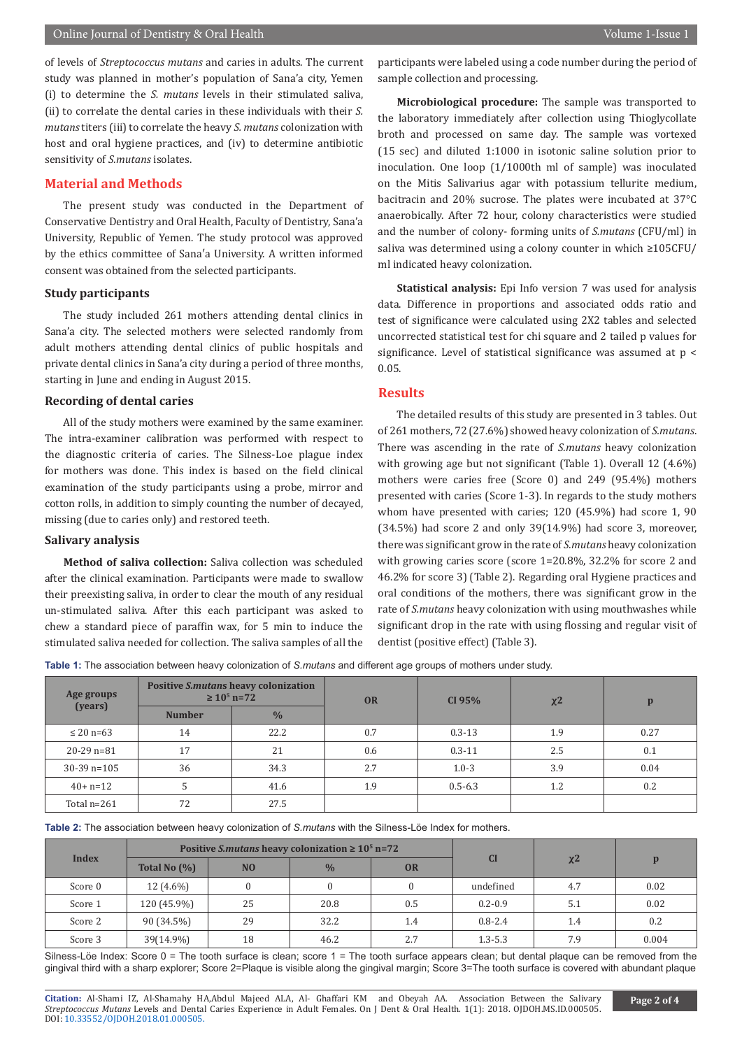### Online Journal of Dentistry & Oral Health Volume 1-Issue 1

of levels of *Streptococcus mutans* and caries in adults. The current study was planned in mother's population of Sana'a city, Yemen (i) to determine the *S. mutans* levels in their stimulated saliva, (ii) to correlate the dental caries in these individuals with their *S. mutans* titers (iii) to correlate the heavy *S. mutans* colonization with host and oral hygiene practices, and (iv) to determine antibiotic sensitivity of *S.mutans* isolates.

#### **Material and Methods**

The present study was conducted in the Department of Conservative Dentistry and Oral Health, Faculty of Dentistry, Sana'a University, Republic of Yemen. The study protocol was approved by the ethics committee of Sana′a University. A written informed consent was obtained from the selected participants.

#### **Study participants**

The study included 261 mothers attending dental clinics in Sana'a city. The selected mothers were selected randomly from adult mothers attending dental clinics of public hospitals and private dental clinics in Sana'a city during a period of three months, starting in June and ending in August 2015.

#### **Recording of dental caries**

All of the study mothers were examined by the same examiner. The intra-examiner calibration was performed with respect to the diagnostic criteria of caries. The Silness-Loe plague index for mothers was done. This index is based on the field clinical examination of the study participants using a probe, mirror and cotton rolls, in addition to simply counting the number of decayed, missing (due to caries only) and restored teeth.

#### **Salivary analysis**

**Method of saliva collection:** Saliva collection was scheduled after the clinical examination. Participants were made to swallow their preexisting saliva, in order to clear the mouth of any residual un-stimulated saliva. After this each participant was asked to chew a standard piece of paraffin wax, for 5 min to induce the stimulated saliva needed for collection. The saliva samples of all the participants were labeled using a code number during the period of sample collection and processing.

**Microbiological procedure:** The sample was transported to the laboratory immediately after collection using Thioglycollate broth and processed on same day. The sample was vortexed (15 sec) and diluted 1:1000 in isotonic saline solution prior to inoculation. One loop (1/1000th ml of sample) was inoculated on the Mitis Salivarius agar with potassium tellurite medium, bacitracin and 20% sucrose. The plates were incubated at 37°C anaerobically. After 72 hour, colony characteristics were studied and the number of colony- forming units of *S.mutans* (CFU/ml) in saliva was determined using a colony counter in which ≥105CFU/ ml indicated heavy colonization.

**Statistical analysis:** Epi Info version 7 was used for analysis data. Difference in proportions and associated odds ratio and test of significance were calculated using 2X2 tables and selected uncorrected statistical test for chi square and 2 tailed p values for significance. Level of statistical significance was assumed at p < 0.05.

#### **Results**

The detailed results of this study are presented in 3 tables. Out of 261 mothers, 72 (27.6%) showed heavy colonization of *S.mutans*. There was ascending in the rate of *S.mutans* heavy colonization with growing age but not significant (Table 1). Overall 12 (4.6%) mothers were caries free (Score 0) and 249 (95.4%) mothers presented with caries (Score 1-3). In regards to the study mothers whom have presented with caries; 120 (45.9%) had score 1, 90 (34.5%) had score 2 and only 39(14.9%) had score 3, moreover, there was significant grow in the rate of *S.mutans* heavy colonization with growing caries score (score 1=20.8%, 32.2% for score 2 and 46.2% for score 3) (Table 2). Regarding oral Hygiene practices and oral conditions of the mothers, there was significant grow in the rate of *S.mutans* heavy colonization with using mouthwashes while significant drop in the rate with using flossing and regular visit of dentist (positive effect) (Table 3).

**Table 1:** The association between heavy colonization of *S.mutans* and different age groups of mothers under study.

| Age groups     | <b>Positive S.mutans heavy colonization</b><br>$\geq 10^5$ n=72 |               | <b>OR</b> | CI 95%      | $x^2$ | p    |  |
|----------------|-----------------------------------------------------------------|---------------|-----------|-------------|-------|------|--|
| (years)        | <b>Number</b>                                                   | $\frac{0}{0}$ |           |             |       |      |  |
| $\leq$ 20 n=63 | 14                                                              | 22.2          | 0.7       | $0.3 - 13$  | 1.9   | 0.27 |  |
| $20-29$ n=81   | 17                                                              | 21            | 0.6       | $0.3 - 11$  | 2.5   | 0.1  |  |
| $30-39$ n=105  | 36                                                              | 34.3          | 2.7       | $1.0 - 3$   | 3.9   | 0.04 |  |
| $40+ n=12$     |                                                                 | 41.6          | 1.9       | $0.5 - 6.3$ | 1.2   | 0.2  |  |
| Total n=261    | 72                                                              | 27.5          |           |             |       |      |  |
|                |                                                                 |               |           |             |       |      |  |

**Table 2:** The association between heavy colonization of *S.mutans* with the Silness-Löe Index for mothers.

| <b>Index</b> |                 |                | Positive <i>S.mutans</i> heavy colonization $\geq 10^5$ n=72 |           |             |       |       |
|--------------|-----------------|----------------|--------------------------------------------------------------|-----------|-------------|-------|-------|
|              | Total No $(\%)$ | N <sub>O</sub> | $\frac{0}{0}$                                                | <b>OR</b> | <b>CI</b>   | $x^2$ | D     |
| Score 0      | $12(4.6\%)$     |                | $\bf{0}$                                                     |           | undefined   | 4.7   | 0.02  |
| Score 1      | 120 (45.9%)     | 25             | 20.8                                                         | 0.5       | $0.2 - 0.9$ | 5.1   | 0.02  |
| Score 2      | 90 (34.5%)      | 29             | 32.2                                                         | 1.4       | $0.8 - 2.4$ | 1.4   | 0.2   |
| Score 3      | 39(14.9%)       | 18             | 46.2                                                         | 2.7       | $1.3 - 5.3$ | 7.9   | 0.004 |

Silness-Löe Index: Score 0 = The tooth surface is clean; score 1 = The tooth surface appears clean; but dental plaque can be removed from the gingival third with a sharp explorer; Score 2=Plaque is visible along the gingival margin; Score 3=The tooth surface is covered with abundant plaque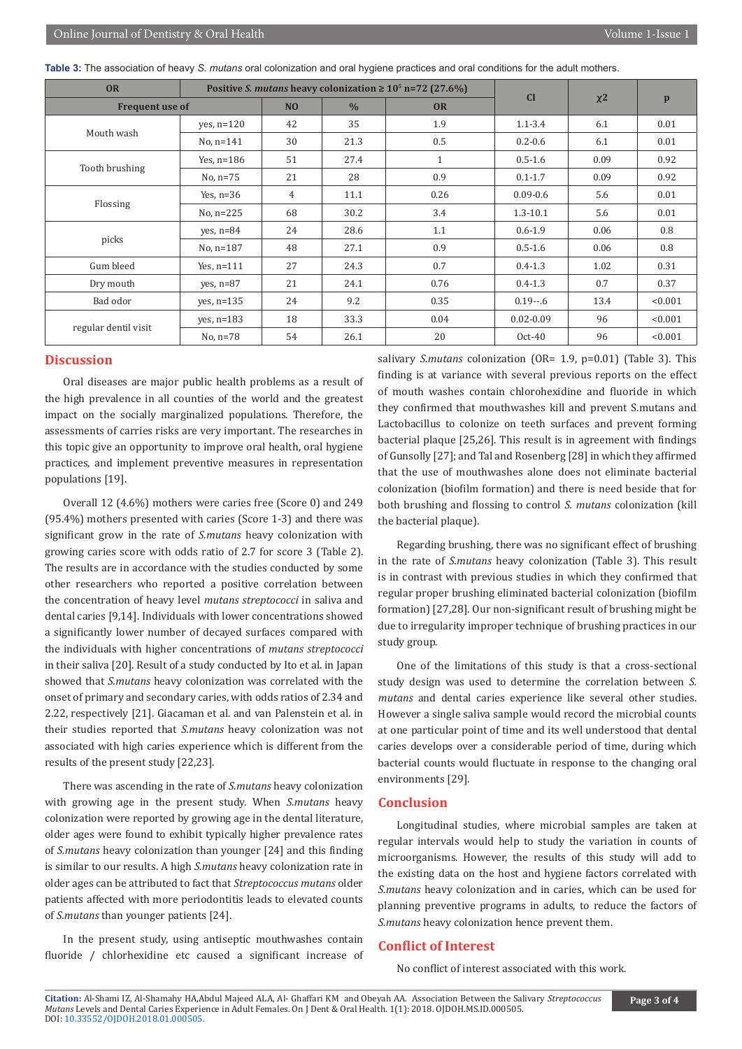|  |  |  |  |  |  |  |  |  |  | Table 3: The association of heavy S. mutans oral colonization and oral hygiene practices and oral conditions for the adult mothers. |  |
|--|--|--|--|--|--|--|--|--|--|-------------------------------------------------------------------------------------------------------------------------------------|--|
|--|--|--|--|--|--|--|--|--|--|-------------------------------------------------------------------------------------------------------------------------------------|--|

| <b>OR</b>              |                |               |           | Positive S. mutans heavy colonization $\geq 10^5$ n=72 (27.6%) | CI            |              |         |
|------------------------|----------------|---------------|-----------|----------------------------------------------------------------|---------------|--------------|---------|
| <b>Frequent use of</b> | N <sub>O</sub> | $\frac{0}{0}$ | <b>OR</b> |                                                                | $x^2$         | $\mathbf{p}$ |         |
| Mouth wash             | yes, $n=120$   | 42            | 35        | 1.9                                                            | $1.1 - 3.4$   | 6.1          | 0.01    |
|                        | $No, n=141$    | 30            | 21.3      | 0.5                                                            | $0.2 - 0.6$   | 6.1          | 0.01    |
|                        | Yes, $n=186$   | 51            | 27.4      | $\mathbf{1}$                                                   | $0.5 - 1.6$   | 0.09         | 0.92    |
| Tooth brushing         | No, $n=75$     | 21            | 28        | 0.9                                                            | $0.1 - 1.7$   | 0.09         | 0.92    |
|                        | Yes, $n=36$    | 4             | 11.1      | 0.26                                                           | $0.09 - 0.6$  | 5.6          | 0.01    |
| Flossing               | No, $n=225$    | 68            | 30.2      | 3.4                                                            | $1.3 - 10.1$  | 5.6          | 0.01    |
|                        | $ves, n=84$    | 24            | 28.6      | 1.1                                                            | $0.6 - 1.9$   | 0.06         | 0.8     |
| picks                  | No, $n=187$    | 48            | 27.1      | 0.9                                                            | $0.5 - 1.6$   | 0.06         | 0.8     |
| Gum bleed              | Yes, $n=111$   | 27            | 24.3      | 0.7                                                            | $0.4 - 1.3$   | 1.02         | 0.31    |
| Dry mouth              | $ves, n=87$    | 21            | 24.1      | 0.76                                                           | $0.4 - 1.3$   | 0.7          | 0.37    |
| Bad odor               | yes, $n=135$   | 24            | 9.2       | 0.35                                                           | $0.19 - 6$    | 13.4         | < 0.001 |
|                        | yes, $n=183$   | 18            | 33.3      | 0.04                                                           | $0.02 - 0.09$ | 96           | < 0.001 |
| regular dentil visit   | No, $n=78$     | 54            | 26.1      | 20                                                             | $Oct-40$      | 96           | < 0.001 |

#### **Discussion**

Oral diseases are major public health problems as a result of the high prevalence in all counties of the world and the greatest impact on the socially marginalized populations. Therefore, the assessments of carries risks are very important. The researches in this topic give an opportunity to improve oral health, oral hygiene practices, and implement preventive measures in representation populations [19].

Overall 12 (4.6%) mothers were caries free (Score 0) and 249 (95.4%) mothers presented with caries (Score 1-3) and there was significant grow in the rate of *S.mutans* heavy colonization with growing caries score with odds ratio of 2.7 for score 3 (Table 2). The results are in accordance with the studies conducted by some other researchers who reported a positive correlation between the concentration of heavy level *mutans streptococci* in saliva and dental caries [9,14]. Individuals with lower concentrations showed a significantly lower number of decayed surfaces compared with the individuals with higher concentrations of *mutans streptococci* in their saliva [20]. Result of a study conducted by Ito et al. in Japan showed that *S.mutans* heavy colonization was correlated with the onset of primary and secondary caries, with odds ratios of 2.34 and 2.22, respectively [21]. Giacaman et al. and van Palenstein et al. in their studies reported that *S.mutans* heavy colonization was not associated with high caries experience which is different from the results of the present study [22,23].

There was ascending in the rate of *S.mutans* heavy colonization with growing age in the present study. When *S.mutans* heavy colonization were reported by growing age in the dental literature, older ages were found to exhibit typically higher prevalence rates of *S.mutans* heavy colonization than younger [24] and this finding is similar to our results. A high *S.mutans* heavy colonization rate in older ages can be attributed to fact that *Streptococcus mutans* older patients affected with more periodontitis leads to elevated counts of *S.mutans* than younger patients [24].

In the present study, using antiseptic mouthwashes contain fluoride / chlorhexidine etc caused a significant increase of salivary *S.mutans* colonization (OR= 1.9, p=0.01) (Table 3). This finding is at variance with several previous reports on the effect of mouth washes contain chlorohexidine and fluoride in which they confirmed that mouthwashes kill and prevent S.mutans and Lactobacillus to colonize on teeth surfaces and prevent forming bacterial plaque [25,26]. This result is in agreement with findings of Gunsolly [27]; and Tal and Rosenberg [28] in which they affirmed that the use of mouthwashes alone does not eliminate bacterial colonization (biofilm formation) and there is need beside that for both brushing and flossing to control *S. mutans* colonization (kill the bacterial plaque).

Regarding brushing, there was no significant effect of brushing in the rate of *S.mutans* heavy colonization (Table 3). This result is in contrast with previous studies in which they confirmed that regular proper brushing eliminated bacterial colonization (biofilm formation) [27,28]. Our non-significant result of brushing might be due to irregularity improper technique of brushing practices in our study group.

One of the limitations of this study is that a cross-sectional study design was used to determine the correlation between *S. mutans* and dental caries experience like several other studies. However a single saliva sample would record the microbial counts at one particular point of time and its well understood that dental caries develops over a considerable period of time, during which bacterial counts would fluctuate in response to the changing oral environments [29].

#### **Conclusion**

Longitudinal studies, where microbial samples are taken at regular intervals would help to study the variation in counts of microorganisms. However, the results of this study will add to the existing data on the host and hygiene factors correlated with *S.mutans* heavy colonization and in caries, which can be used for planning preventive programs in adults, to reduce the factors of *S.mutans* heavy colonization hence prevent them.

### **Conflict of Interest**

No conflict of interest associated with this work.